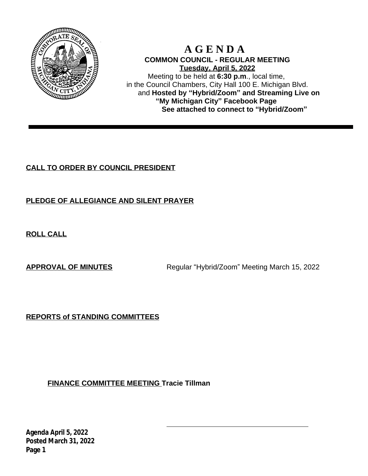

# **A G E N D A COMMON COUNCIL - REGULAR MEETING Tuesday, April 5, 2022**

Meeting to be held at **6:30 p.m**., local time, in the Council Chambers, City Hall 100 E. Michigan Blvd. and **Hosted by "Hybrid/Zoom" and Streaming Live on "My Michigan City" Facebook Page See attached to connect to "Hybrid/Zoom"**

# **CALL TO ORDER BY COUNCIL PRESIDENT**

# **PLEDGE OF ALLEGIANCE AND SILENT PRAYER**

**ROLL CALL**

**APPROVAL OF MINUTES** Regular "Hybrid/Zoom" Meeting March 15, 2022

**REPORTS of STANDING COMMITTEES**

**FINANCE COMMITTEE MEETING Tracie Tillman**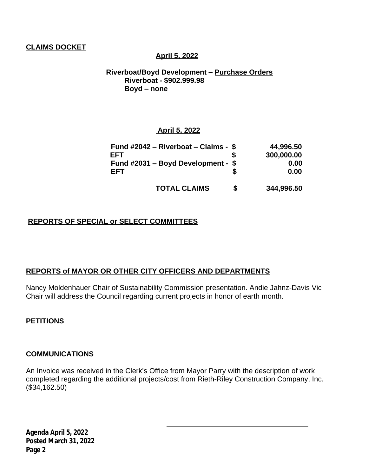## **CLAIMS DOCKET**

#### **April 5, 2022**

 **Riverboat/Boyd Development – Purchase Orders Riverboat - \$902.999.98 Boyd – none**

#### **April 5, 2022**

| Fund $\#2042$ – Riverboat – Claims - \$ |   | 44,996.50  |
|-----------------------------------------|---|------------|
| FFT                                     |   | 300,000.00 |
| Fund $\#2031$ – Boyd Development - \$   |   | 0.00       |
| EFT                                     |   | 0.00       |
| <b>TOTAL CLAIMS</b>                     | S | 344,996.50 |

## **REPORTS OF SPECIAL or SELECT COMMITTEES**

#### **REPORTS of MAYOR OR OTHER CITY OFFICERS AND DEPARTMENTS**

Nancy Moldenhauer Chair of Sustainability Commission presentation. Andie Jahnz-Davis Vic Chair will address the Council regarding current projects in honor of earth month.

#### **PETITIONS**

#### **COMMUNICATIONS**

An Invoice was received in the Clerk's Office from Mayor Parry with the description of work completed regarding the additional projects/cost from Rieth-Riley Construction Company, Inc. (\$34,162.50)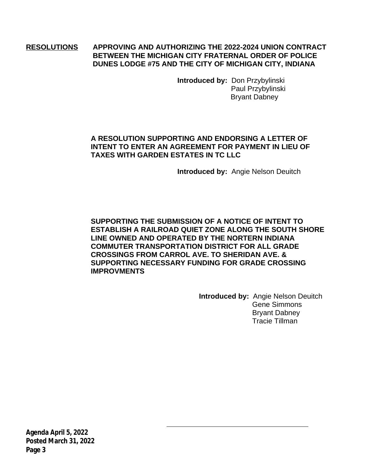## **RESOLUTIONS APPROVING AND AUTHORIZING THE 2022-2024 UNION CONTRACT BETWEEN THE MICHIGAN CITY FRATERNAL ORDER OF POLICE DUNES LODGE #75 AND THE CITY OF MICHIGAN CITY, INDIANA**

**Introduced by:** Don Przybylinski Paul Przybylinski Bryant Dabney

## **A RESOLUTION SUPPORTING AND ENDORSING A LETTER OF INTENT TO ENTER AN AGREEMENT FOR PAYMENT IN LIEU OF TAXES WITH GARDEN ESTATES IN TC LLC**

**Introduced by:** Angie Nelson Deuitch

**SUPPORTING THE SUBMISSION OF A NOTICE OF INTENT TO ESTABLISH A RAILROAD QUIET ZONE ALONG THE SOUTH SHORE LINE OWNED AND OPERATED BY THE NORTERN INDIANA COMMUTER TRANSPORTATION DISTRICT FOR ALL GRADE CROSSINGS FROM CARROL AVE. TO SHERIDAN AVE. & SUPPORTING NECESSARY FUNDING FOR GRADE CROSSING IMPROVMENTS**

**Introduced by:** Angie Nelson Deuitch Gene Simmons Bryant Dabney Tracie Tillman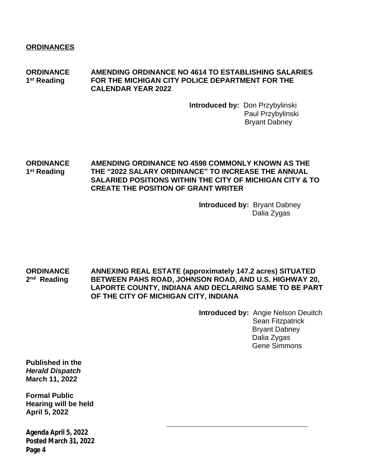**ORDINANCE AMENDING ORDINANCE NO 4614 TO ESTABLISHING SALARIES** 1<sup>st</sup> Reading **FOR THE MICHIGAN CITY POLICE DEPARTMENT FOR THE CALENDAR YEAR 2022**

> **Introduced by:** Don Przybylinski Paul Przybylinski Bryant Dabney

#### **ORDINANCE AMENDING ORDINANCE NO 4598 COMMONLY KNOWN AS THE** 1<sup>st</sup> Reading **st Reading THE "2022 SALARY ORDINANCE" TO INCREASE THE ANNUAL SALARIED POSITIONS WITHIN THE CITY OF MICHIGAN CITY & TO CREATE THE POSITION OF GRANT WRITER**

**Introduced by:** Bryant Dabney Dalia Zygas

**ORDINANCE ANNEXING REAL ESTATE (approximately 147.2 acres) SITUATED** 2<sup>nd</sup> Reading **BETWEEN PAHS ROAD, JOHNSON ROAD, AND U.S. HIGHWAY 20, LAPORTE COUNTY, INDIANA AND DECLARING SAME TO BE PART OF THE CITY OF MICHIGAN CITY, INDIANA**

**Introduced by:** Angie Nelson Deuitch Sean Fitzpatrick Bryant Dabney Dalia Zygas Gene Simmons

**Published in the** *Herald Dispatch* **March 11, 2022**

**Formal Public Hearing will be held April 5, 2022**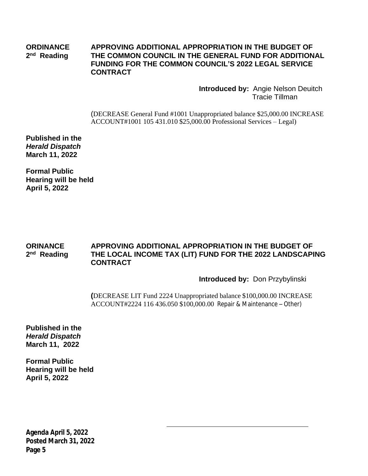#### **ORDINANCE APPROVING ADDITIONAL APPROPRIATION IN THE BUDGET OF** 2<sup>nd</sup> Reading **THE COMMON COUNCIL IN THE GENERAL FUND FOR ADDITIONAL FUNDING FOR THE COMMON COUNCIL'S 2022 LEGAL SERVICE CONTRACT**

**Introduced by:** Angie Nelson Deuitch Tracie Tillman

(DECREASE General Fund #1001 Unappropriated balance \$25,000.00 INCREASE ACCOUNT#1001 105 431.010 \$25,000.00 Professional Services – Legal)

**Published in the** *Herald Dispatch* **March 11, 2022**

**Formal Public Hearing will be held April 5, 2022**

#### **ORINANCE APPROVING ADDITIONAL APPROPRIATION IN THE BUDGET OF** 2<sup>nd</sup> Reading **THE LOCAL INCOME TAX (LIT) FUND FOR THE 2022 LANDSCAPING CONTRACT**

#### **Introduced by:** Don Przybylinski

**(**DECREASE LIT Fund 2224 Unappropriated balance \$100,000.00 INCREASE ACCOUNT#2224 116 436.050 \$100,000.00 Repair & Maintenance – Other)

**Published in the** *Herald Dispatch* **March 11, 2022**

**Formal Public Hearing will be held April 5, 2022**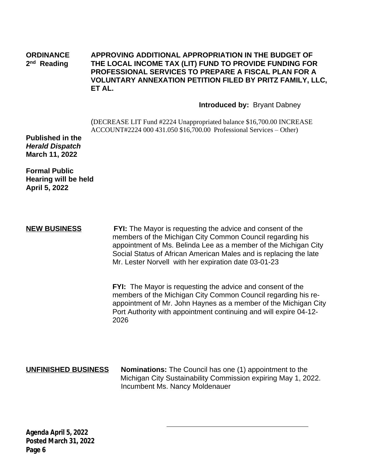#### **ORDINANCE APPROVING ADDITIONAL APPROPRIATION IN THE BUDGET OF** 2<sup>nd</sup> Reading **THE LOCAL INCOME TAX (LIT) FUND TO PROVIDE FUNDING FOR PROFESSIONAL SERVICES TO PREPARE A FISCAL PLAN FOR A VOLUNTARY ANNEXATION PETITION FILED BY PRITZ FAMILY, LLC, ET AL.**

#### **Introduced by:** Bryant Dabney

(DECREASE LIT Fund #2224 Unappropriated balance \$16,700.00 INCREASE ACCOUNT#2224 000 431.050 \$16,700.00 Professional Services – Other)

**Published in the** *Herald Dispatch* **March 11, 2022**

**Formal Public Hearing will be held April 5, 2022**

**NEW BUSINESS FYI:** The Mayor is requesting the advice and consent of the members of the Michigan City Common Council regarding his appointment of Ms. Belinda Lee as a member of the Michigan City Social Status of African American Males and is replacing the late Mr. Lester Norvell with her expiration date 03-01-23

**FYI:** The Mayor is requesting the advice and consent of the members of the Michigan City Common Council regarding his reappointment of Mr. John Haynes as a member of the Michigan City Port Authority with appointment continuing and will expire 04-12- 2026

**UNFINISHED BUSINESS** Nominations: The Council has one (1) appointment to the Michigan City Sustainability Commission expiring May 1, 2022. Incumbent Ms. Nancy Moldenauer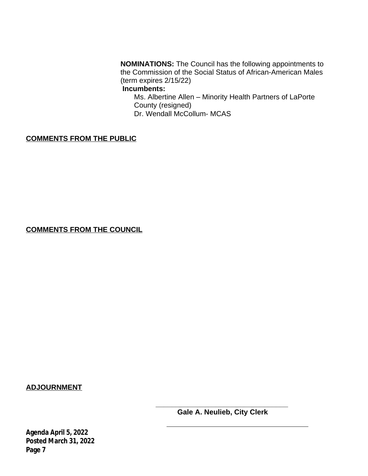**NOMINATIONS:** The Council has the following appointments to the Commission of the Social Status of African-American Males (term expires 2/15/22)

## **Incumbents:**

Ms. Albertine Allen – Minority Health Partners of LaPorte County (resigned) Dr. Wendall McCollum- MCAS

## **COMMENTS FROM THE PUBLIC**

**COMMENTS FROM THE COUNCIL**

**ADJOURNMENT**

**\_\_\_\_\_\_\_\_\_\_\_\_\_\_\_\_\_\_\_\_\_\_\_\_\_\_\_\_\_\_\_\_\_ Gale A. Neulieb, City Clerk**